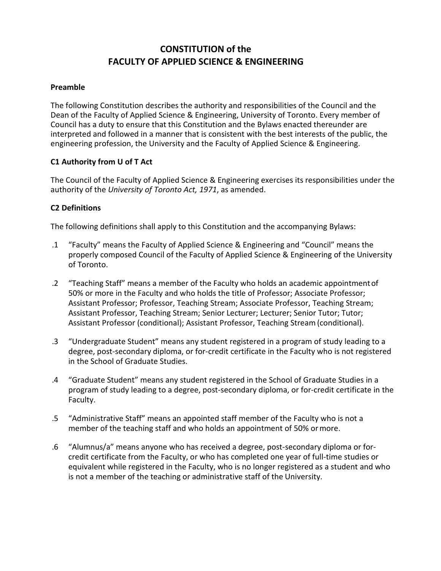# **CONSTITUTION of the FACULTY OF APPLIED SCIENCE & ENGINEERING**

#### **Preamble**

The following Constitution describes the authority and responsibilities of the Council and the Dean of the Faculty of Applied Science & Engineering, University of Toronto. Every member of Council has a duty to ensure that this Constitution and the Bylaws enacted thereunder are interpreted and followed in a manner that is consistent with the best interests of the public, the engineering profession, the University and the Faculty of Applied Science & Engineering.

## **C1 Authority from U of T Act**

The Council of the Faculty of Applied Science & Engineering exercises its responsibilities under the authority of the *University of Toronto Act, 1971*, as amended.

## **C2 Definitions**

The following definitions shall apply to this Constitution and the accompanying Bylaws:

- .1 "Faculty" means the Faculty of Applied Science & Engineering and "Council" means the properly composed Council of the Faculty of Applied Science & Engineering of the University of Toronto.
- .2 "Teaching Staff" means a member of the Faculty who holds an academic appointmentof 50% or more in the Faculty and who holds the title of Professor; Associate Professor; Assistant Professor; Professor, Teaching Stream; Associate Professor, Teaching Stream; Assistant Professor, Teaching Stream; Senior Lecturer; Lecturer; Senior Tutor; Tutor; Assistant Professor (conditional); Assistant Professor, Teaching Stream (conditional).
- .3 "Undergraduate Student" means any student registered in a program of study leading to a degree, post-secondary diploma, or for-credit certificate in the Faculty who is not registered in the School of Graduate Studies.
- .4 "Graduate Student" means any student registered in the School of Graduate Studies in a program of study leading to a degree, post-secondary diploma, or for-credit certificate in the Faculty.
- .5 "Administrative Staff" means an appointed staff member of the Faculty who is not a member of the teaching staff and who holds an appointment of 50% ormore.
- .6 "Alumnus/a" means anyone who has received a degree, post-secondary diploma or forcredit certificate from the Faculty, or who has completed one year of full-time studies or equivalent while registered in the Faculty, who is no longer registered as a student and who is not a member of the teaching or administrative staff of the University.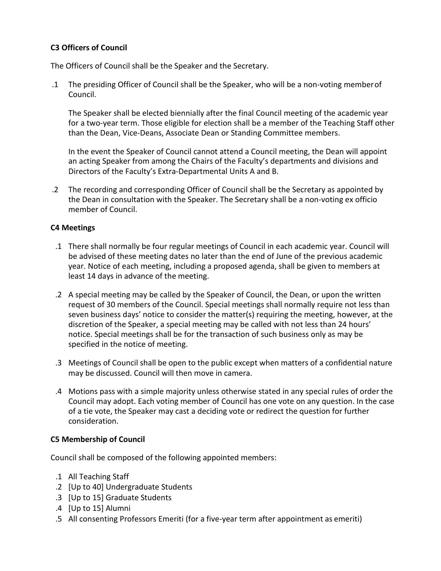# **C3 Officers of Council**

The Officers of Council shall be the Speaker and the Secretary.

.1 The presiding Officer of Council shall be the Speaker, who will be a non-voting memberof Council.

The Speaker shall be elected biennially after the final Council meeting of the academic year for a two-year term. Those eligible for election shall be a member of the Teaching Staff other than the Dean, Vice-Deans, Associate Dean or Standing Committee members.

In the event the Speaker of Council cannot attend a Council meeting, the Dean will appoint an acting Speaker from among the Chairs of the Faculty's departments and divisions and Directors of the Faculty's Extra-Departmental Units A and B.

.2 The recording and corresponding Officer of Council shall be the Secretary as appointed by the Dean in consultation with the Speaker. The Secretary shall be a non-voting ex officio member of Council.

## **C4 Meetings**

- .1 There shall normally be four regular meetings of Council in each academic year. Council will be advised of these meeting dates no later than the end of June of the previous academic year. Notice of each meeting, including a proposed agenda, shall be given to members at least 14 days in advance of the meeting.
- .2 A special meeting may be called by the Speaker of Council, the Dean, or upon the written request of 30 members of the Council. Special meetings shall normally require not less than seven business days' notice to consider the matter(s) requiring the meeting, however, at the discretion of the Speaker, a special meeting may be called with not less than 24 hours' notice. Special meetings shall be for the transaction of such business only as may be specified in the notice of meeting.
- .3 Meetings of Council shall be open to the public except when matters of a confidential nature may be discussed. Council will then move in camera.
- .4 Motions pass with a simple majority unless otherwise stated in any special rules of order the Council may adopt. Each voting member of Council has one vote on any question. In the case of a tie vote, the Speaker may cast a deciding vote or redirect the question for further consideration.

# **C5 Membership of Council**

Council shall be composed of the following appointed members:

- .1 All Teaching Staff
- .2 [Up to 40] Undergraduate Students
- .3 [Up to 15] Graduate Students
- .4 [Up to 15] Alumni
- .5 All consenting Professors Emeriti (for a five-year term after appointment as emeriti)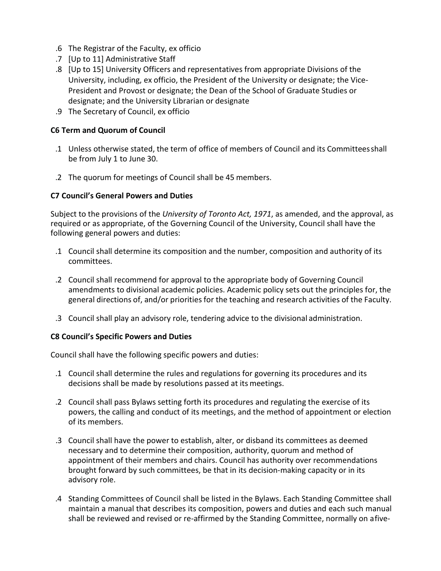- .6 The Registrar of the Faculty, ex officio
- .7 [Up to 11] Administrative Staff
- .8 [Up to 15] University Officers and representatives from appropriate Divisions of the University, including, ex officio, the President of the University or designate; the Vice-President and Provost or designate; the Dean of the School of Graduate Studies or designate; and the University Librarian or designate
- .9 The Secretary of Council, ex officio

## **C6 Term and Quorum of Council**

- .1 Unless otherwise stated, the term of office of members of Council and its Committeesshall be from July 1 to June 30.
- .2 The quorum for meetings of Council shall be 45 members.

## **C7 Council's General Powers and Duties**

Subject to the provisions of the *University of Toronto Act, 1971*, as amended, and the approval, as required or as appropriate, of the Governing Council of the University, Council shall have the following general powers and duties:

- .1 Council shall determine its composition and the number, composition and authority of its committees.
- .2 Council shall recommend for approval to the appropriate body of Governing Council amendments to divisional academic policies. Academic policy sets out the principles for, the general directions of, and/or priorities for the teaching and research activities of the Faculty.
- .3 Council shall play an advisory role, tendering advice to the divisional administration.

## **C8 Council's Specific Powers and Duties**

Council shall have the following specific powers and duties:

- .1 Council shall determine the rules and regulations for governing its procedures and its decisions shall be made by resolutions passed at its meetings.
- .2 Council shall pass Bylaws setting forth its procedures and regulating the exercise of its powers, the calling and conduct of its meetings, and the method of appointment or election of its members.
- .3 Council shall have the power to establish, alter, or disband its committees as deemed necessary and to determine their composition, authority, quorum and method of appointment of their members and chairs. Council has authority over recommendations brought forward by such committees, be that in its decision-making capacity or in its advisory role.
- .4 Standing Committees of Council shall be listed in the Bylaws. Each Standing Committee shall maintain a manual that describes its composition, powers and duties and each such manual shall be reviewed and revised or re-affirmed by the Standing Committee, normally on afive-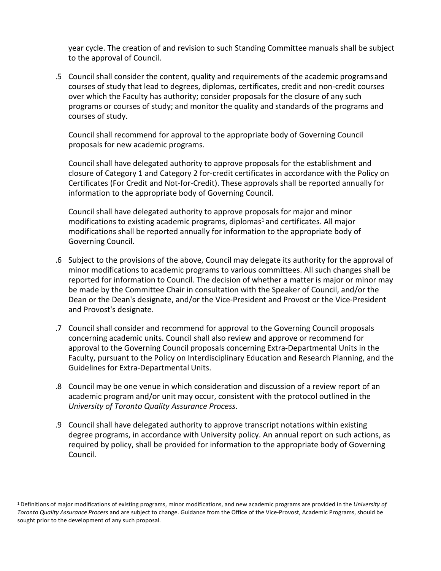year cycle. The creation of and revision to such Standing Committee manuals shall be subject to the approval of Council.

.5 Council shall consider the content, quality and requirements of the academic programsand courses of study that lead to degrees, diplomas, certificates, credit and non-credit courses over which the Faculty has authority; consider proposals for the closure of any such programs or courses of study; and monitor the quality and standards of the programs and courses of study.

Council shall recommend for approval to the appropriate body of Governing Council proposals for new academic programs.

Council shall have delegated authority to approve proposals for the establishment and closure of Category 1 and Category 2 for-credit certificates in accordance with the Policy on Certificates (For Credit and Not-for-Credit). These approvals shall be reported annually for information to the appropriate body of Governing Council.

Council shall have delegated authority to approve proposals for major and minor modifications to existing academic programs, diplomas<sup>1</sup> and certificates. All major modifications shall be reported annually for information to the appropriate body of Governing Council.

- .6 Subject to the provisions of the above, Council may delegate its authority for the approval of minor modifications to academic programs to various committees. All such changes shall be reported for information to Council. The decision of whether a matter is major or minor may be made by the Committee Chair in consultation with the Speaker of Council, and/or the Dean or the Dean's designate, and/or the Vice-President and Provost or the Vice-President and Provost's designate.
- .7 Council shall consider and recommend for approval to the Governing Council proposals concerning academic units. Council shall also review and approve or recommend for approval to the Governing Council proposals concerning Extra-Departmental Units in the Faculty, pursuant to the Policy on Interdisciplinary Education and Research Planning, and the Guidelines for Extra-Departmental Units.
- .8 Council may be one venue in which consideration and discussion of a review report of an academic program and/or unit may occur, consistent with the protocol outlined in the *University of Toronto Quality Assurance Process*.
- .9 Council shall have delegated authority to approve transcript notations within existing degree programs, in accordance with University policy. An annual report on such actions, as required by policy, shall be provided for information to the appropriate body of Governing Council.

<sup>1</sup> Definitions of major modifications of existing programs, minor modifications, and new academic programs are provided in the *University of Toronto Quality Assurance Process* and are subject to change. Guidance from the Office of the Vice-Provost, Academic Programs, should be sought prior to the development of any such proposal.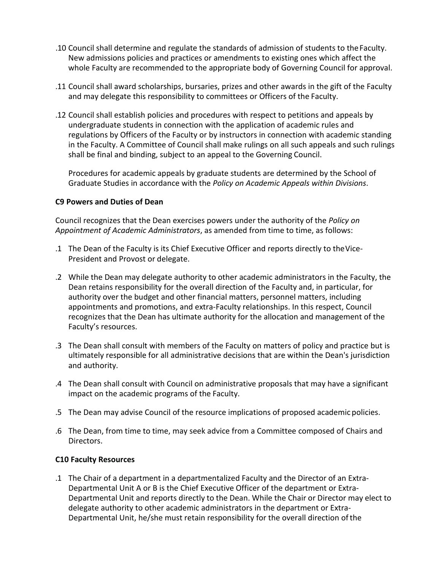- .10 Council shall determine and regulate the standards of admission of students to theFaculty. New admissions policies and practices or amendments to existing ones which affect the whole Faculty are recommended to the appropriate body of Governing Council for approval.
- .11 Council shall award scholarships, bursaries, prizes and other awards in the gift of the Faculty and may delegate this responsibility to committees or Officers of the Faculty.
- .12 Council shall establish policies and procedures with respect to petitions and appeals by undergraduate students in connection with the application of academic rules and regulations by Officers of the Faculty or by instructors in connection with academic standing in the Faculty. A Committee of Council shall make rulings on all such appeals and such rulings shall be final and binding, subject to an appeal to the Governing Council.

Procedures for academic appeals by graduate students are determined by the School of Graduate Studies in accordance with the *Policy on Academic Appeals within Divisions*.

## **C9 Powers and Duties of Dean**

Council recognizes that the Dean exercises powers under the authority of the *Policy on Appointment of Academic Administrators*, as amended from time to time, as follows:

- .1 The Dean of the Faculty is its Chief Executive Officer and reports directly to theVice-President and Provost or delegate.
- .2 While the Dean may delegate authority to other academic administrators in the Faculty, the Dean retains responsibility for the overall direction of the Faculty and, in particular, for authority over the budget and other financial matters, personnel matters, including appointments and promotions, and extra-Faculty relationships. In this respect, Council recognizes that the Dean has ultimate authority for the allocation and management of the Faculty's resources.
- .3 The Dean shall consult with members of the Faculty on matters of policy and practice but is ultimately responsible for all administrative decisions that are within the Dean's jurisdiction and authority.
- .4 The Dean shall consult with Council on administrative proposals that may have a significant impact on the academic programs of the Faculty.
- .5 The Dean may advise Council of the resource implications of proposed academic policies.
- .6 The Dean, from time to time, may seek advice from a Committee composed of Chairs and Directors.

# **C10 Faculty Resources**

.1 The Chair of a department in a departmentalized Faculty and the Director of an Extra-Departmental Unit A or B is the Chief Executive Officer of the department or Extra-Departmental Unit and reports directly to the Dean. While the Chair or Director may elect to delegate authority to other academic administrators in the department or Extra-Departmental Unit, he/she must retain responsibility for the overall direction ofthe